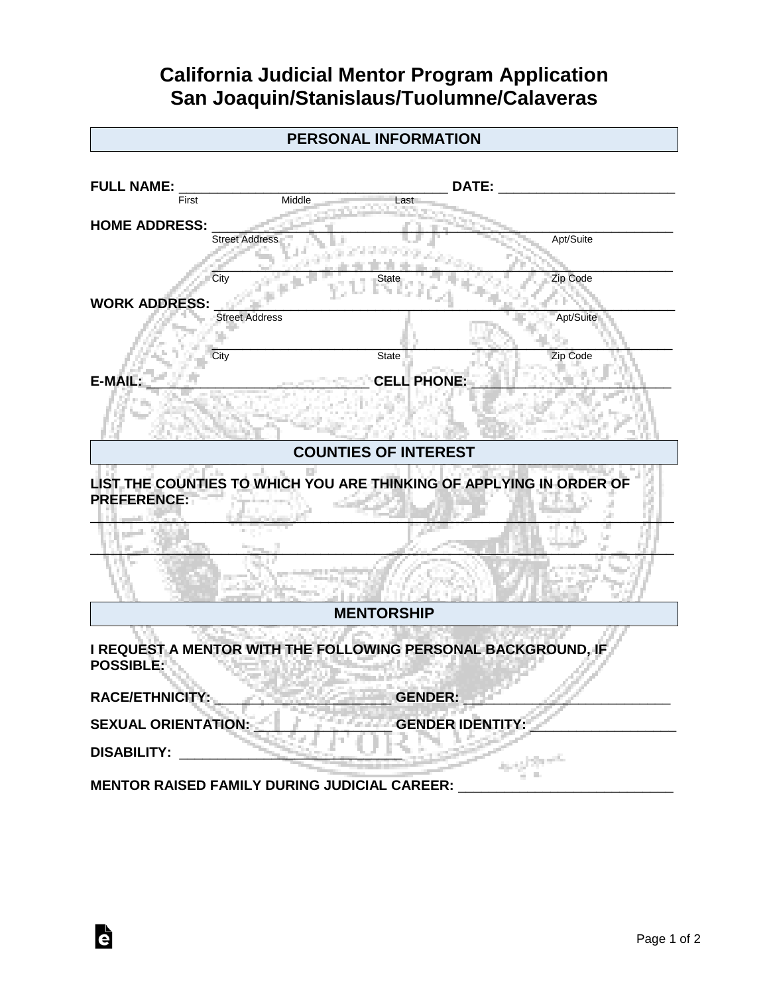## **California Judicial Mentor Program Application San Joaquin/Stanislaus/Tuolumne/Calaveras**

|                            | <b>PERSONAL INFORMATION</b>                                         |                         |           |
|----------------------------|---------------------------------------------------------------------|-------------------------|-----------|
|                            |                                                                     |                         |           |
| <b>FULL NAME:</b><br>First | DATE:<br>Middle<br>_as:                                             |                         |           |
| <b>HOME ADDRESS:</b>       |                                                                     |                         |           |
|                            | <b>Street Address</b>                                               | Apt/Suite               |           |
| City                       |                                                                     | Zip Code                |           |
| <b>WORK ADDRESS:</b>       |                                                                     |                         |           |
|                            | <b>Street Address</b>                                               |                         | Apt/Suite |
| City                       | <b>State</b>                                                        | Zip Code                |           |
| F-MΔ                       |                                                                     | CELL PHONE:             |           |
|                            |                                                                     |                         |           |
|                            | <b>COUNTIES OF INTEREST</b>                                         |                         |           |
| <b>PREFERENCE:</b>         | LIST THE COUNTIES TO WHICH YOU ARE THINKING OF APPLYING IN ORDER OF |                         |           |
|                            |                                                                     |                         |           |
|                            | <b>MENTORSHIP</b>                                                   |                         |           |
| <b>POSSIBLE:</b>           | I REQUEST A MENTOR WITH THE FOLLOWING PERSONAL BACKGROUND, IF       |                         |           |
| <b>RACE/ETHNICITY:</b>     |                                                                     | <b>GENDER:</b>          |           |
| <b>SEXUAL ORIENTATION:</b> |                                                                     | <b>GENDER IDENTITY:</b> |           |
| <b>DISABILITY:</b>         |                                                                     |                         |           |
|                            | <b>MENTOR RAISED FAMILY DURING JUDICIAL CAREER:</b>                 |                         |           |

è